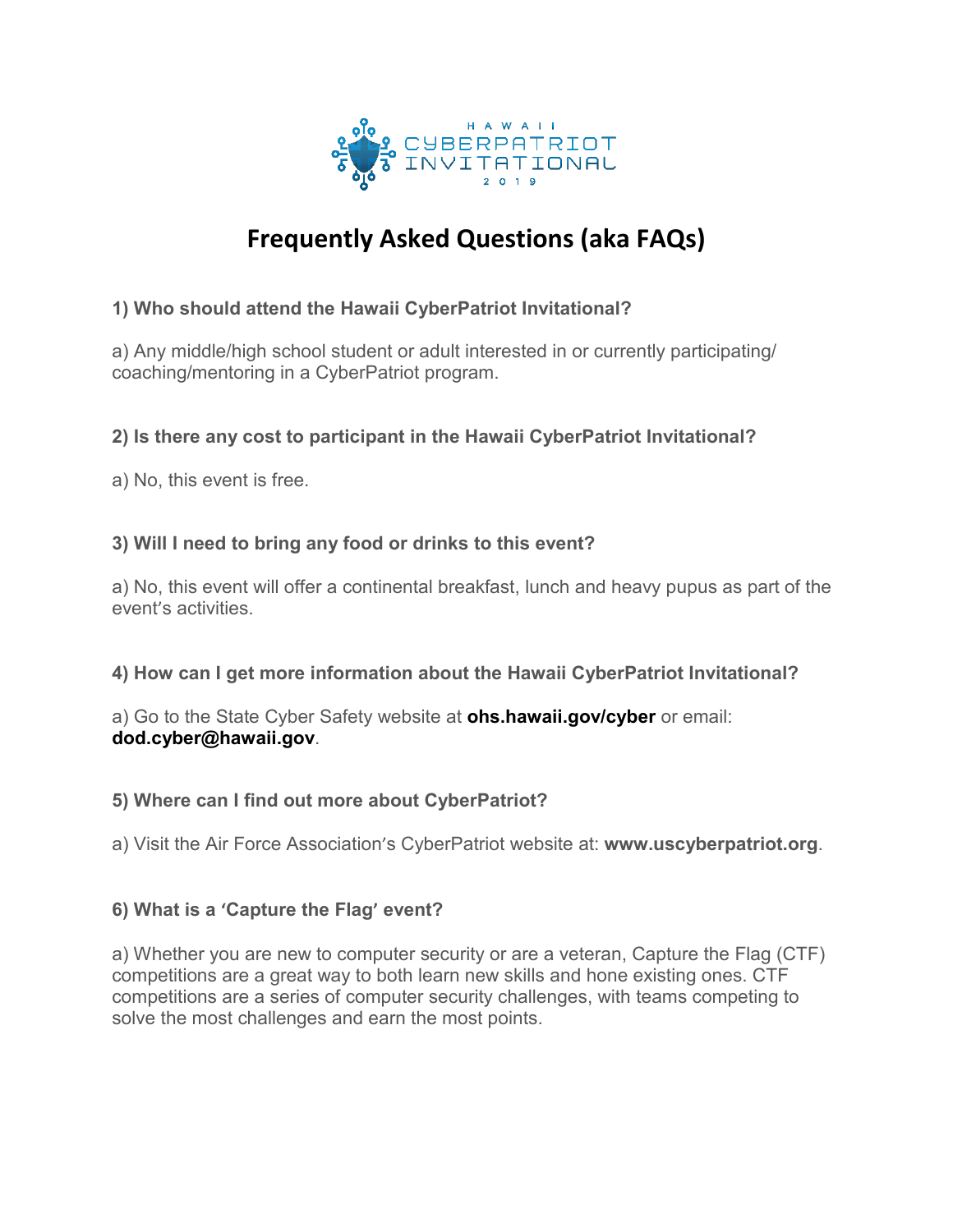

# **Frequently Asked Questions (aka FAQs)**

# **1) Who should attend the Hawaii CyberPatriot Invitational?**

a) Any middle/high school student or adult interested in or currently participating/ coaching/mentoring in a CyberPatriot program.

# **2) Is there any cost to participant in the Hawaii CyberPatriot Invitational?**

a) No, this event is free.

# **3) Will I need to bring any food or drinks to this event?**

a) No, this event will offer a continental breakfast, lunch and heavy pupus as part of the event's activities.

## **4) How can I get more information about the Hawaii CyberPatriot Invitational?**

a) Go to the State Cyber Safety website at **ohs.hawaii.gov/cyber** or email: **dod.cyber@hawaii.gov**.

## **5) Where can I find out more about CyberPatriot?**

a) Visit the Air Force Association's CyberPatriot website at: **www.uscyberpatriot.org**.

## **6) What is a 'Capture the Flag' event?**

a) Whether you are new to computer security or are a veteran, Capture the Flag (CTF) competitions are a great way to both learn new skills and hone existing ones. CTF competitions are a series of computer security challenges, with teams competing to solve the most challenges and earn the most points.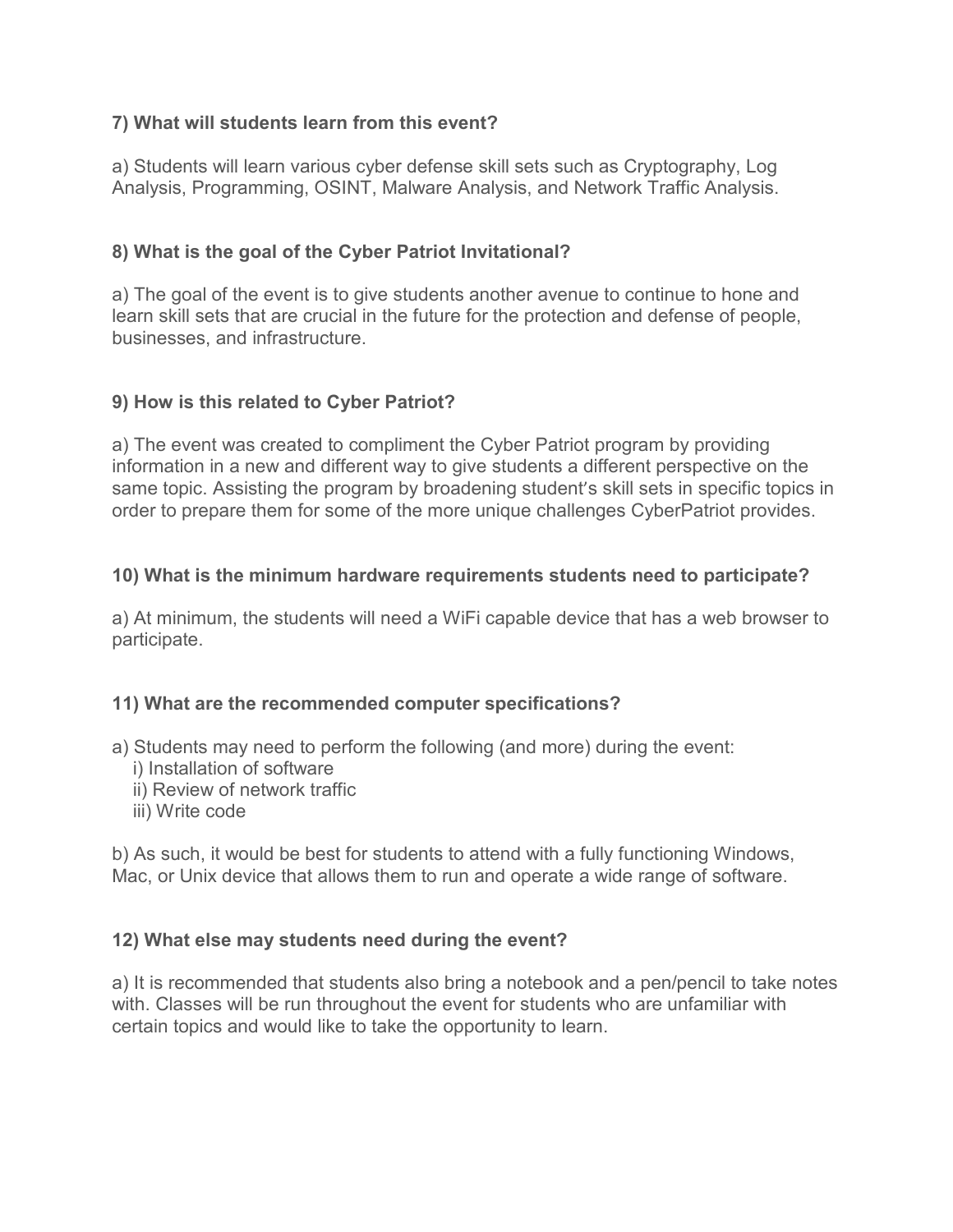## **7) What will students learn from this event?**

a) Students will learn various cyber defense skill sets such as Cryptography, Log Analysis, Programming, OSINT, Malware Analysis, and Network Traffic Analysis.

# **8) What is the goal of the Cyber Patriot Invitational?**

a) The goal of the event is to give students another avenue to continue to hone and learn skill sets that are crucial in the future for the protection and defense of people, businesses, and infrastructure.

# **9) How is this related to Cyber Patriot?**

a) The event was created to compliment the Cyber Patriot program by providing information in a new and different way to give students a different perspective on the same topic. Assisting the program by broadening student's skill sets in specific topics in order to prepare them for some of the more unique challenges CyberPatriot provides.

# **10) What is the minimum hardware requirements students need to participate?**

a) At minimum, the students will need a WiFi capable device that has a web browser to participate.

## **11) What are the recommended computer specifications?**

- a) Students may need to perform the following (and more) during the event:
	- i) Installation of software
	- ii) Review of network traffic
	- iii) Write code

b) As such, it would be best for students to attend with a fully functioning Windows, Mac, or Unix device that allows them to run and operate a wide range of software.

## **12) What else may students need during the event?**

a) It is recommended that students also bring a notebook and a pen/pencil to take notes with. Classes will be run throughout the event for students who are unfamiliar with certain topics and would like to take the opportunity to learn.